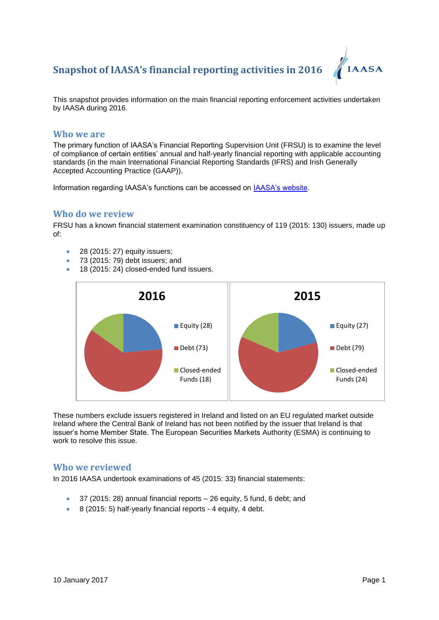

This snapshot provides information on the main financial reporting enforcement activities undertaken by IAASA during 2016.

#### **Who we are**

The primary function of IAASA's Financial Reporting Supervision Unit (FRSU) is to examine the level of compliance of certain entities' annual and half-yearly financial reporting with applicable accounting standards (in the main International Financial Reporting Standards (IFRS) and Irish Generally Accepted Accounting Practice (GAAP)).

Information regarding IAASA's functions can be accessed on **IAASA's website**.

#### **Who do we review**

FRSU has a known financial statement examination constituency of 119 (2015: 130) issuers, made up of:

- 28 (2015: 27) equity issuers;
- 73 (2015: 79) debt issuers: and
- 18 (2015: 24) closed-ended fund issuers.



These numbers exclude issuers registered in Ireland and listed on an EU regulated market outside Ireland where the Central Bank of Ireland has not been notified by the issuer that Ireland is that issuer's home Member State. The European Securities Markets Authority (ESMA) is continuing to work to resolve this issue.

#### **Who we reviewed**

In 2016 IAASA undertook examinations of 45 (2015: 33) financial statements:

- 37 (2015: 28) annual financial reports 26 equity, 5 fund, 6 debt; and
- 8 (2015: 5) half-yearly financial reports 4 equity, 4 debt.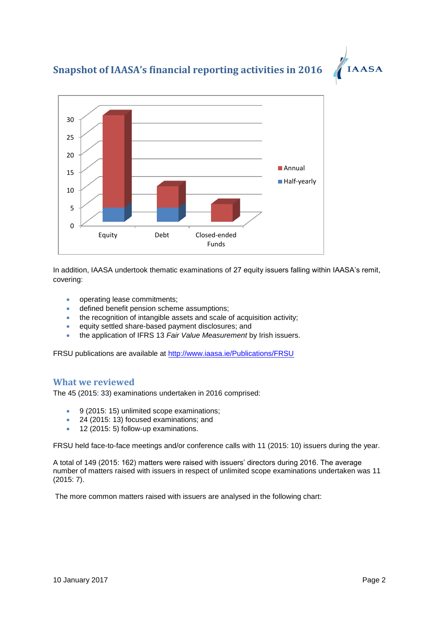



In addition, IAASA undertook thematic examinations of 27 equity issuers falling within IAASA's remit, covering:

- operating lease commitments;
- defined benefit pension scheme assumptions;
- the recognition of intangible assets and scale of acquisition activity;
- equity settled share-based payment disclosures; and
- the application of IFRS 13 *Fair Value Measurement* by Irish issuers.

FRSU publications are available at<http://www.iaasa.ie/Publications/FRSU>

### **What we reviewed**

The 45 (2015: 33) examinations undertaken in 2016 comprised:

- 9 (2015: 15) unlimited scope examinations;
- 24 (2015: 13) focused examinations; and
- 12 (2015: 5) follow-up examinations.

FRSU held face-to-face meetings and/or conference calls with 11 (2015: 10) issuers during the year.

A total of 149 (2015: 162) matters were raised with issuers' directors during 2016. The average number of matters raised with issuers in respect of unlimited scope examinations undertaken was 11 (2015: 7).

The more common matters raised with issuers are analysed in the following chart: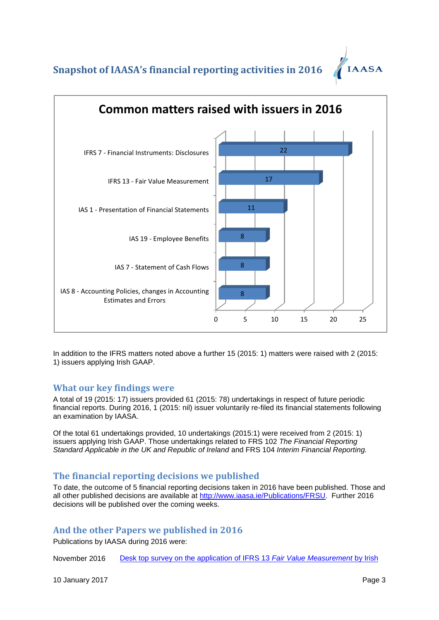

In addition to the IFRS matters noted above a further 15 (2015: 1) matters were raised with 2 (2015: 1) issuers applying Irish GAAP.

### **What our key findings were**

A total of 19 (2015: 17) issuers provided 61 (2015: 78) undertakings in respect of future periodic financial reports. During 2016, 1 (2015: nil) issuer voluntarily re-filed its financial statements following an examination by IAASA.

Of the total 61 undertakings provided, 10 undertakings (2015:1) were received from 2 (2015: 1) issuers applying Irish GAAP. Those undertakings related to FRS 102 *The Financial Reporting Standard Applicable in the UK and Republic of Ireland* and FRS 104 *Interim Financial Reporting.* 

## **The financial reporting decisions we published**

To date, the outcome of 5 financial reporting decisions taken in 2016 have been published. Those and all other published decisions are available at [http://www.iaasa.ie/Publications/FRSU.](http://www.iaasa.ie/Publications/FRSU) Further 2016 decisions will be published over the coming weeks.

## **And the other Papers we published in 2016**

Publications by IAASA during 2016 were:

November 2016 [Desk top survey on the application of IFRS 13](http://www.iaasa.ie/getmedia/2579243e-d7ae-4c55-9bbf-1621a2c9058a/IFRS-13-Fair-value-thematic-2Nov2016.pdf?ext=.pdf) *Fair Value Measurement* by Irish

10 January 2017 **Page 3**